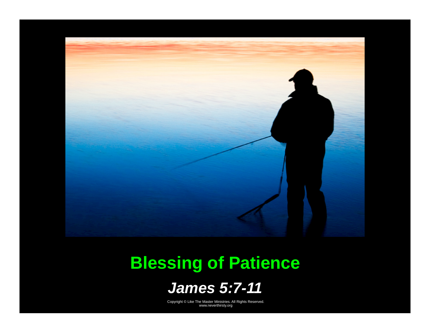

# **Blessing of Patience**

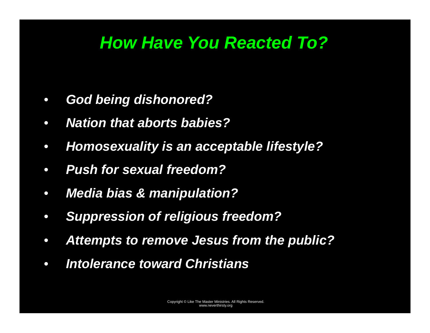# *How Have You Reacted To?*

- $\bullet$ *God being dishonored?*
- $\bullet$ *Nation that aborts babies?*
- $\bullet$ *Homosexuality is an acceptable lifestyle?*
- $\bullet$ *Push for sexual freedom?*
- $\bullet$ *Media bias & manipulation?*
- $\bullet$ *Suppression of religious freedom?*
- $\bullet$ *Attempts to remove Jesus from the public?*
- $\bullet$ *Intolerance toward Christians*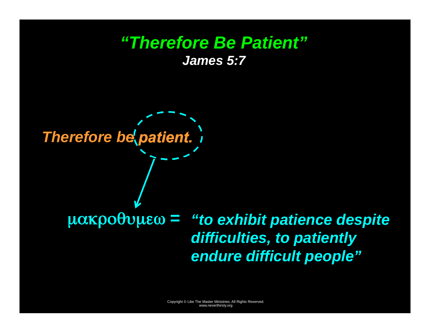#### *"Therefore Be Patient" James 5:7*

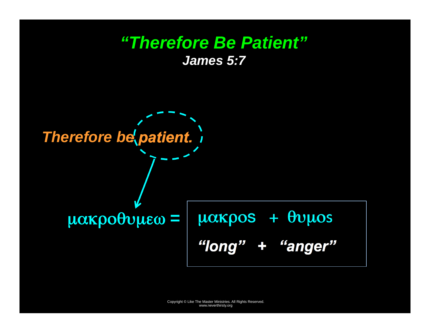#### *"Therefore Be Patient" James 5:7*

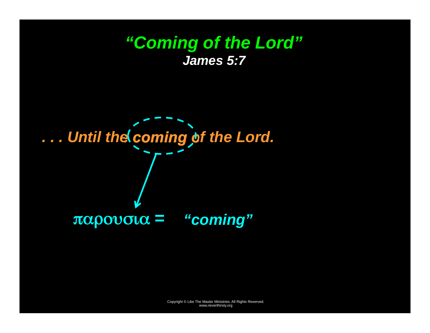### *"Coming of the Lord" James 5:7*

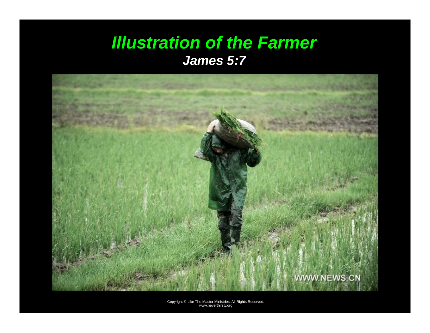#### *Illustration of the Farmer James 5:7*

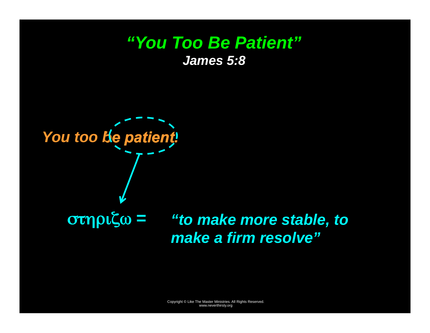#### *"You Too Be Patient" James 5:8*



*"to make more stable, to*  στηριζω *<sup>=</sup> make a firm resolve"*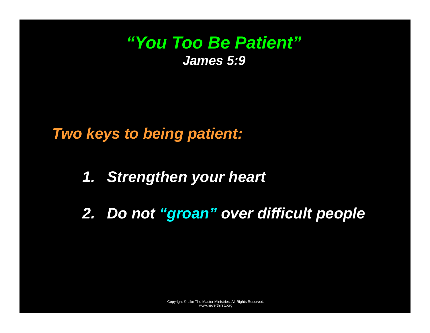### *"You Too Be Patient" James 5:9*

*Two keys to being patient:* 

- *1. Strengthen your heart*
- *2. Do not "groan" over difficult people*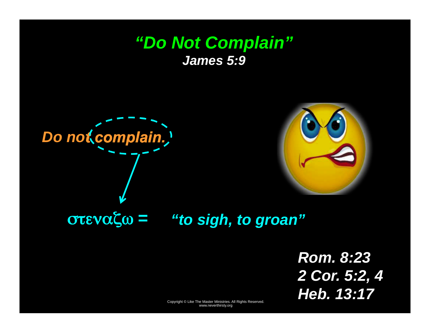#### *"Do Not Complain" James 5:9*





στεναζω *<sup>=</sup>"to sigh, to groan"* 

*Rom. 8:23 2 Cor. 5:2, 4 Heb. 13:17*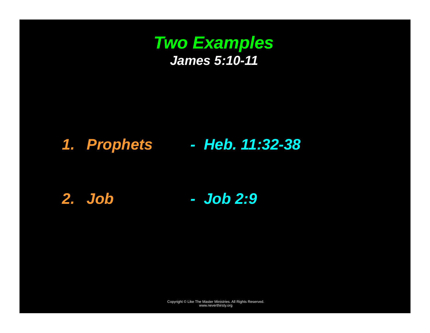

#### *1. Prophets - Heb. 11:32-38*

*2. Job - Job 2:9*